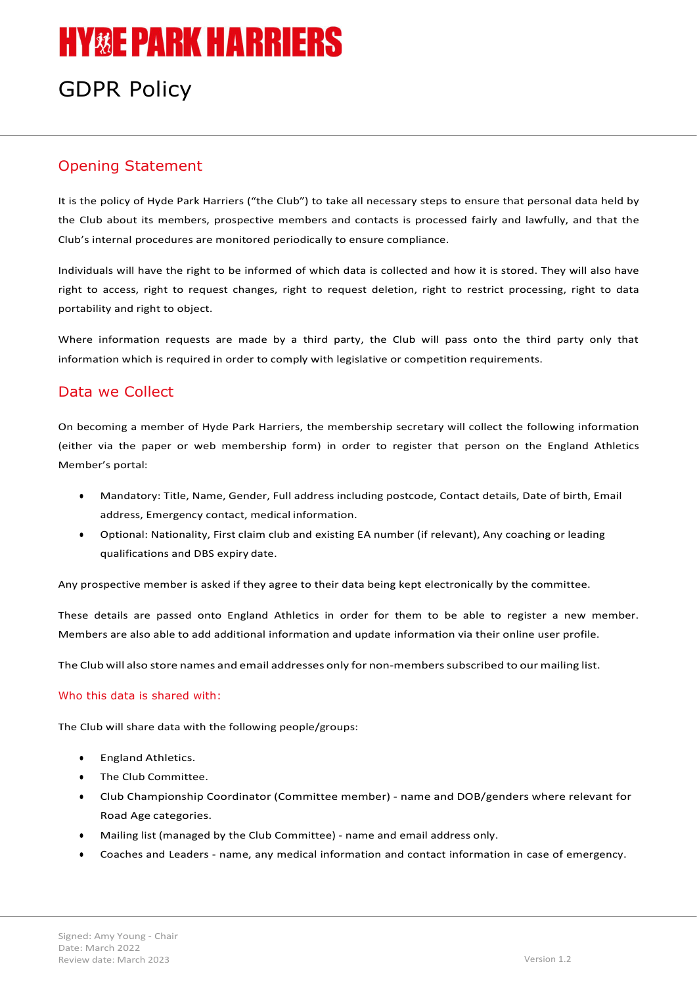# **HY&E PARK HARRIERS**

# GDPR Policy

# Opening Statement

It is the policy of Hyde Park Harriers ("the Club") to take all necessary steps to ensure that personal data held by the Club about its members, prospective members and contacts is processed fairly and lawfully, and that the Club's internal procedures are monitored periodically to ensure compliance.

Individuals will have the right to be informed of which data is collected and how it is stored. They will also have right to access, right to request changes, right to request deletion, right to restrict processing, right to data portability and right to object.

Where information requests are made by a third party, the Club will pass onto the third party only that information which is required in order to comply with legislative or competition requirements.

### Data we Collect

On becoming a member of Hyde Park Harriers, the membership secretary will collect the following information (either via the paper or web membership form) in order to register that person on the England Athletics Member's portal:

- Mandatory: Title, Name, Gender, Full address including postcode, Contact details, Date of birth, Email address, Emergency contact, medical information.
- Optional: Nationality, First claim club and existing EA number (if relevant), Any coaching or leading qualifications and DBS expiry date.

Any prospective member is asked if they agree to their data being kept electronically by the committee.

These details are passed onto England Athletics in order for them to be able to register a new member. Members are also able to add additional information and update information via their online user profile.

The Club will also store names and email addresses only for non-members subscribed to our mailing list.

#### Who this data is shared with:

The Club will share data with the following people/groups:

- **England Athletics.**
- The Club Committee.
- Club Championship Coordinator (Committee member) name and DOB/genders where relevant for Road Age categories.
- Mailing list (managed by the Club Committee) name and email address only.
- Coaches and Leaders name, any medical information and contact information in case of emergency.